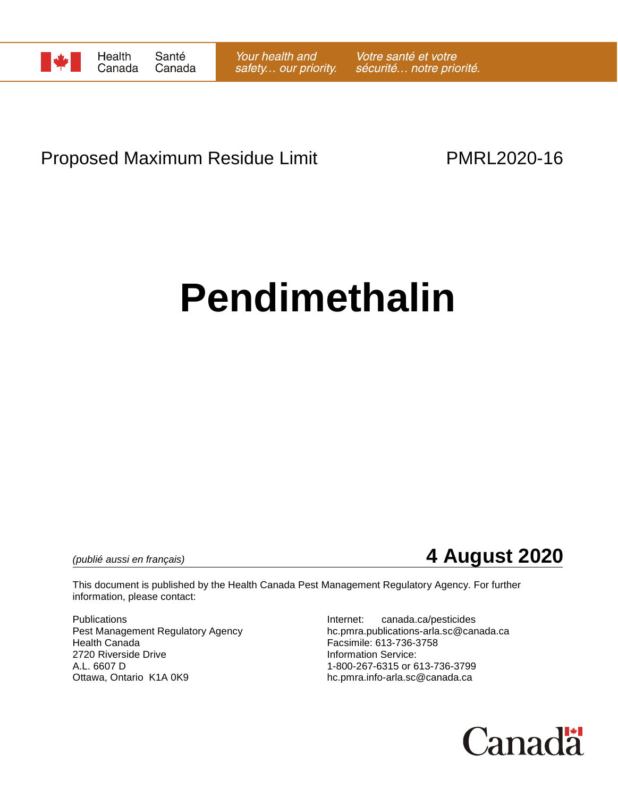

## Proposed Maximum Residue Limit **PMRL2020-16**

# **Pendimethalin**



This document is published by the Health Canada Pest Management Regulatory Agency. For further information, please contact:

Publications **Internet:** canada.ca/pesticides Health Canada Facsimile: 613-736-3758 2720 Riverside Drive **Information Service:** A.L. 6607 D 1-800-267-6315 or 613-736-3799 Ottawa, Ontario K1A 0K9 https://www.bc.pmra.info-arla.sc@canada.ca

Pest Management Regulatory Agency hc.pmra.publications-arla.sc@canada.ca

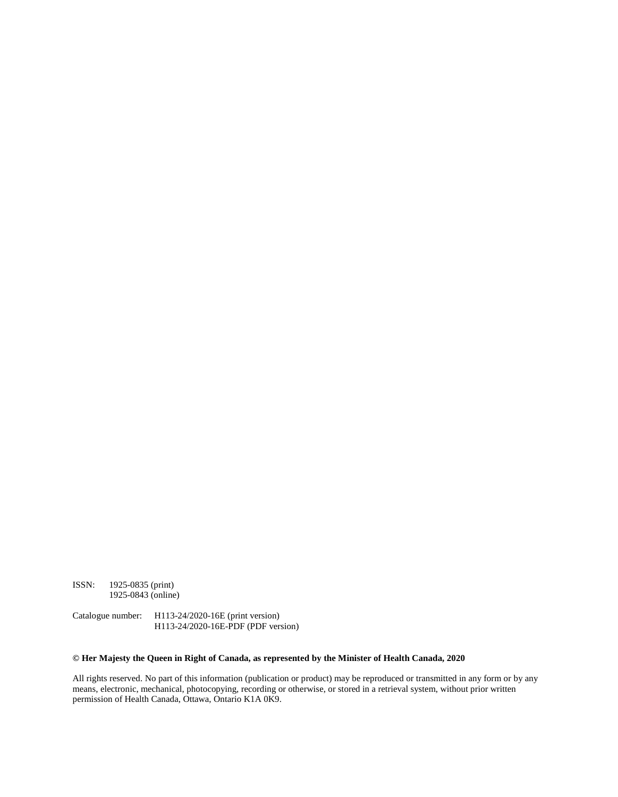ISSN: 1925-0835 (print) 1925-0843 (online)

Catalogue number: H113-24/2020-16E (print version) H113-24/2020-16E-PDF (PDF version)

#### **© Her Majesty the Queen in Right of Canada, as represented by the Minister of Health Canada, 2020**

All rights reserved. No part of this information (publication or product) may be reproduced or transmitted in any form or by any means, electronic, mechanical, photocopying, recording or otherwise, or stored in a retrieval system, without prior written permission of Health Canada, Ottawa, Ontario K1A 0K9.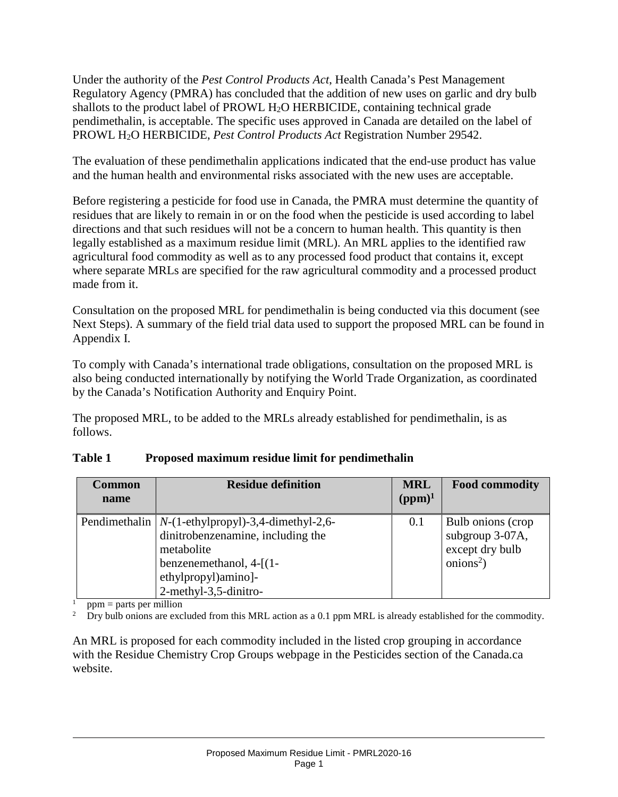Under the authority of the *Pest Control Products Act*, Health Canada's Pest Management Regulatory Agency (PMRA) has concluded that the addition of new uses on garlic and dry bulb shallots to the product label of PROWL H2O HERBICIDE, containing technical grade pendimethalin, is acceptable. The specific uses approved in Canada are detailed on the label of PROWL H2O HERBICIDE, *Pest Control Products Act* Registration Number 29542.

The evaluation of these pendimethalin applications indicated that the end-use product has value and the human health and environmental risks associated with the new uses are acceptable.

Before registering a pesticide for food use in Canada, the PMRA must determine the quantity of residues that are likely to remain in or on the food when the pesticide is used according to label directions and that such residues will not be a concern to human health. This quantity is then legally established as a maximum residue limit (MRL). An MRL applies to the identified raw agricultural food commodity as well as to any processed food product that contains it, except where separate MRLs are specified for the raw agricultural commodity and a processed product made from it.

Consultation on the proposed MRL for pendimethalin is being conducted via this document (see Next Steps). A summary of the field trial data used to support the proposed MRL can be found in Appendix I.

To comply with Canada's international trade obligations, consultation on the proposed MRL is also being conducted internationally by notifying the World Trade Organization, as coordinated by the Canada's Notification Authority and Enquiry Point.

The proposed MRL, to be added to the MRLs already established for pendimethalin, is as follows.

| <b>Common</b><br>name | <b>Residue definition</b>                                                                                                                                                            | <b>MRL</b><br>$(ppm)^1$ | <b>Food commodity</b>                                                          |
|-----------------------|--------------------------------------------------------------------------------------------------------------------------------------------------------------------------------------|-------------------------|--------------------------------------------------------------------------------|
|                       | Pendimethalin   $N-(1-ethylpropyl)-3,4-dimethyl-2,6-$<br>dinitrobenzenamine, including the<br>metabolite<br>benzenemethanol, $4-[1-$<br>ethylpropyl)amino]-<br>2-methyl-3,5-dinitro- | 0.1                     | Bulb onions (crop<br>subgroup 3-07A,<br>except dry bulb<br>$\text{onions}^2$ ) |

### **Table 1 Proposed maximum residue limit for pendimethalin**

1 ppm = parts per million

<sup>2</sup> Dry bulb onions are excluded from this MRL action as a 0.1 ppm MRL is already established for the commodity.

An MRL is proposed for each commodity included in the listed crop grouping in accordance with the Residue Chemistry Crop Groups webpage in the Pesticides section of the Canada.ca website.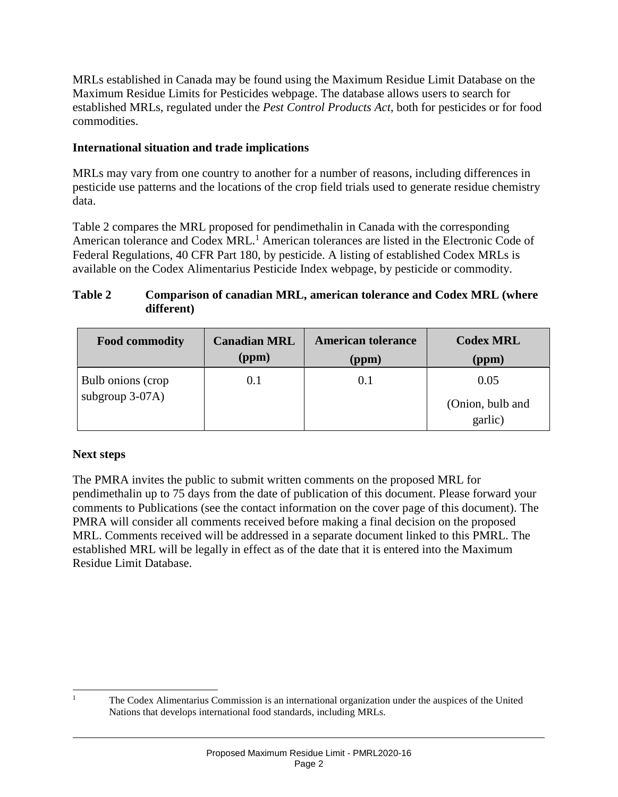MRLs established in Canada may be found using the Maximum Residue Limit Database on the Maximum Residue Limits for Pesticides webpage. The database allows users to search for established MRLs, regulated under the *Pest Control Products Act*, both for pesticides or for food commodities.

#### **International situation and trade implications**

MRLs may vary from one country to another for a number of reasons, including differences in pesticide use patterns and the locations of the crop field trials used to generate residue chemistry data.

Table 2 compares the MRL proposed for pendimethalin in Canada with the corresponding American tolerance and Codex MRL.<sup>1</sup> American tolerances are listed in the Electronic Code of Federal Regulations, 40 CFR Part 180, by pesticide. A listing of established Codex MRLs is available on the Codex Alimentarius Pesticide Index webpage, by pesticide or commodity.

#### **Table 2 Comparison of canadian MRL, american tolerance and Codex MRL (where different)**

| <b>Food commodity</b>                   | <b>Canadian MRL</b> | <b>American tolerance</b> | <b>Codex MRL</b>                    |
|-----------------------------------------|---------------------|---------------------------|-------------------------------------|
|                                         | (ppm)               | (ppm)                     | (ppm)                               |
| Bulb onions (crop<br>subgroup $3-07A$ ) | 0.1                 | 0.1                       | 0.05<br>(Onion, bulb and<br>garlic) |

#### **Next steps**

 $\overline{a}$ 1

The PMRA invites the public to submit written comments on the proposed MRL for pendimethalin up to 75 days from the date of publication of this document. Please forward your comments to Publications (see the contact information on the cover page of this document). The PMRA will consider all comments received before making a final decision on the proposed MRL. Comments received will be addressed in a separate document linked to this PMRL. The established MRL will be legally in effect as of the date that it is entered into the Maximum Residue Limit Database.

 The Codex Alimentarius Commission is an international organization under the auspices of the United Nations that develops international food standards, including MRLs.